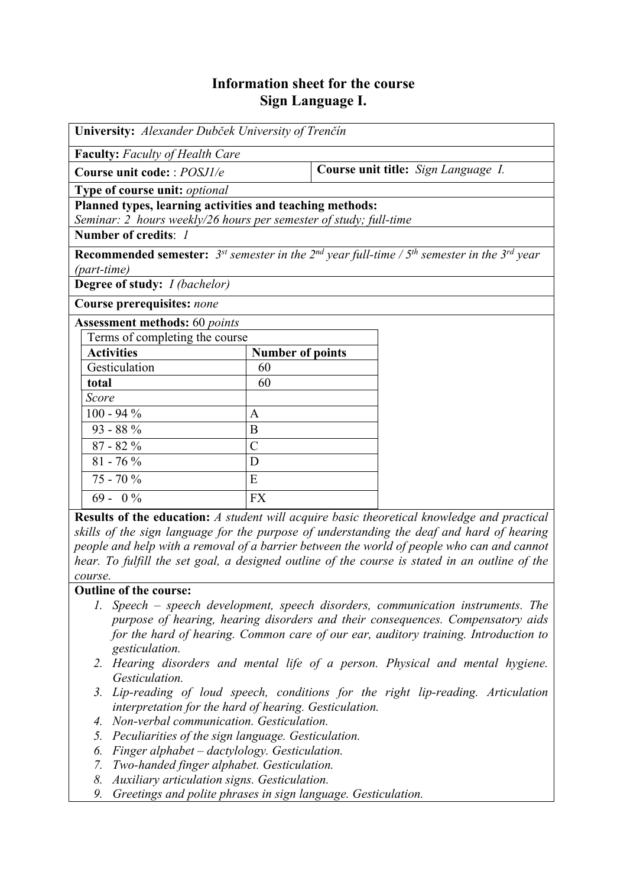## **Information sheet for the course Sign Language I.**

| University: Alexander Dubček University of Trenčín                                                                                       |                         |                                     |  |  |  |  |
|------------------------------------------------------------------------------------------------------------------------------------------|-------------------------|-------------------------------------|--|--|--|--|
| <b>Faculty:</b> Faculty of Health Care                                                                                                   |                         |                                     |  |  |  |  |
| Course unit code: : POSJ1/e                                                                                                              |                         | Course unit title: Sign Language I. |  |  |  |  |
| Type of course unit: optional                                                                                                            |                         |                                     |  |  |  |  |
| Planned types, learning activities and teaching methods:                                                                                 |                         |                                     |  |  |  |  |
| Seminar: 2 hours weekly/26 hours per semester of study; full-time                                                                        |                         |                                     |  |  |  |  |
| Number of credits: 1                                                                                                                     |                         |                                     |  |  |  |  |
| <b>Recommended semester:</b> 3 <sup>st</sup> semester in the 2 <sup>nd</sup> year full-time / $5th$ semester in the 3 <sup>rd</sup> year |                         |                                     |  |  |  |  |
| (part-time)                                                                                                                              |                         |                                     |  |  |  |  |
| <b>Degree of study:</b> <i>I (bachelor)</i>                                                                                              |                         |                                     |  |  |  |  |
| Course prerequisites: none                                                                                                               |                         |                                     |  |  |  |  |
| <b>Assessment methods:</b> 60 points                                                                                                     |                         |                                     |  |  |  |  |
| Terms of completing the course                                                                                                           |                         |                                     |  |  |  |  |
| <b>Activities</b>                                                                                                                        | <b>Number of points</b> |                                     |  |  |  |  |
| Gesticulation                                                                                                                            | 60                      |                                     |  |  |  |  |
| total                                                                                                                                    | 60                      |                                     |  |  |  |  |
| Score                                                                                                                                    |                         |                                     |  |  |  |  |
| $100 - 94 %$                                                                                                                             | A                       |                                     |  |  |  |  |
| $93 - 88 \%$                                                                                                                             | B                       |                                     |  |  |  |  |
| $87 - 82 \%$                                                                                                                             | $\mathcal{C}$           |                                     |  |  |  |  |
| $81 - 76 %$                                                                                                                              | D                       |                                     |  |  |  |  |
| $75 - 70\%$                                                                                                                              | E                       |                                     |  |  |  |  |
| $69 - 0\%$                                                                                                                               | <b>FX</b>               |                                     |  |  |  |  |

**Results of the education:** *A student will acquire basic theoretical knowledge and practical skills of the sign language for the purpose of understanding the deaf and hard of hearing people and help with a removal of a barrier between the world of people who can and cannot hear. To fulfill the set goal, a designed outline of the course is stated in an outline of the course.*

**Outline of the course:**

- *1. Speech speech development, speech disorders, communication instruments. The purpose of hearing, hearing disorders and their consequences. Compensatory aids for the hard of hearing. Common care of our ear, auditory training. Introduction to gesticulation.*
- *2. Hearing disorders and mental life of a person. Physical and mental hygiene. Gesticulation.*
- *3. Lip-reading of loud speech, conditions for the right lip-reading. Articulation interpretation for the hard of hearing. Gesticulation.*
- *4. Non-verbal communication. Gesticulation.*
- *5. Peculiarities of the sign language. Gesticulation.*
- *6. Finger alphabet dactylology. Gesticulation.*
- *7. Two-handed finger alphabet. Gesticulation.*
- *8. Auxiliary articulation signs. Gesticulation.*
- *9. Greetings and polite phrases in sign language. Gesticulation.*